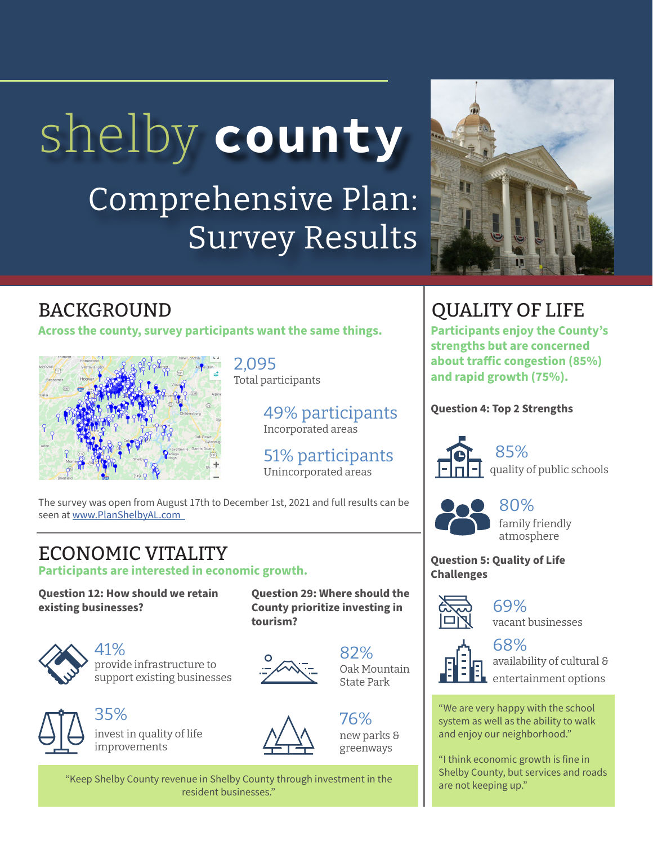# shelby **county**

# Comprehensive Plan: Survey Results



**Across the county, survey participants want the same things.**



2,095 Total participants

> 49% participants Incorporated areas

51% participants Unincorporated areas

**Question 29: Where should the County prioritize investing in** 

The survey was open from August 17th to December 1st, 2021 and full results can be seen at <www.PlanShelbyAL.com>

## ECONOMIC VITALITY

**Participants are interested in economic growth.**

**Question 12: How should we retain existing businesses?**



41% provide infrastructure to support existing businesses



35% invest in quality of life improvements



**tourism?**

76% new parks & greenways

82%

Oak Mountain State Park

"Keep Shelby County revenue in Shelby County through investment in the are not keeping up." resident businesses."

### BACKGROUND CONSUMING A LIFE

**Participants enjoy the County's strengths but are concerned about traffic congestion (85%) and rapid growth (75%).** 

#### **Question 4: Top 2 Strengths**



85% quality of public schools



80% family friendly atmosphere

**Question 5: Quality of Life Challenges**



69% vacant businesses



#### 68% availability of cultural &

entertainment options

"We are very happy with the school system as well as the ability to walk and enjoy our neighborhood."

"I think economic growth is fine in Shelby County, but services and roads